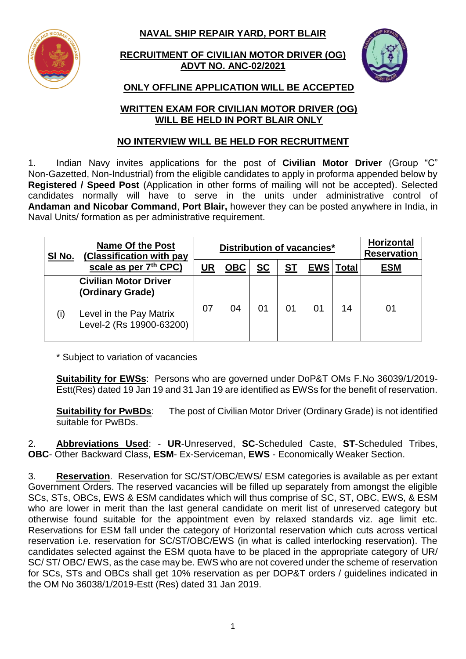**NAVAL SHIP REPAIR YARD, PORT BLAIR**



**RECRUITMENT OF CIVILIAN MOTOR DRIVER (OG) ADVT NO. ANC-02/2021**



# **ONLY OFFLINE APPLICATION WILL BE ACCEPTED**

#### **WRITTEN EXAM FOR CIVILIAN MOTOR DRIVER (OG) WILL BE HELD IN PORT BLAIR ONLY**

## **NO INTERVIEW WILL BE HELD FOR RECRUITMENT**

1. Indian Navy invites applications for the post of **Civilian Motor Driver** (Group "C" Non-Gazetted, Non-Industrial) from the eligible candidates to apply in proforma appended below by **Registered / Speed Post** (Application in other forms of mailing will not be accepted). Selected candidates normally will have to serve in the units under administrative control of **Andaman and Nicobar Command**, **Port Blair,** however they can be posted anywhere in India, in Naval Units/ formation as per administrative requirement.

| SI No. | <b>Name Of the Post</b><br>(Classification with pay | Distribution of vacancies* |            |           |           | <b>Horizontal</b><br><b>Reservation</b> |       |            |
|--------|-----------------------------------------------------|----------------------------|------------|-----------|-----------|-----------------------------------------|-------|------------|
|        | scale as per 7th CPC)                               | UR                         | <b>OBC</b> | <b>SC</b> | <b>ST</b> | <b>EWS</b>                              | Total | <b>ESM</b> |
|        | <b>Civilian Motor Driver</b><br>(Ordinary Grade)    |                            |            |           |           |                                         |       |            |
| (i)    | Level in the Pay Matrix<br>Level-2 (Rs 19900-63200) | 07                         | 04         | 01        | 01        | 01                                      | 14    | 01         |

\* Subject to variation of vacancies

**Suitability for EWSs**: Persons who are governed under DoP&T OMs F.No 36039/1/2019- Estt(Res) dated 19 Jan 19 and 31 Jan 19 are identified as EWSs for the benefit of reservation.

**Suitability for PwBDs:** The post of Civilian Motor Driver (Ordinary Grade) is not identified suitable for PwBDs.

2. **Abbreviations Used**: - **UR**-Unreserved, **SC**-Scheduled Caste, **ST**-Scheduled Tribes, **OBC**- Other Backward Class, **ESM**- Ex-Serviceman, **EWS** - Economically Weaker Section.

3. **Reservation**. Reservation for SC/ST/OBC/EWS/ ESM categories is available as per extant Government Orders. The reserved vacancies will be filled up separately from amongst the eligible SCs, STs, OBCs, EWS & ESM candidates which will thus comprise of SC, ST, OBC, EWS, & ESM who are lower in merit than the last general candidate on merit list of unreserved category but otherwise found suitable for the appointment even by relaxed standards viz. age limit etc. Reservations for ESM fall under the category of Horizontal reservation which cuts across vertical reservation i.e. reservation for SC/ST/OBC/EWS (in what is called interlocking reservation). The candidates selected against the ESM quota have to be placed in the appropriate category of UR/ SC/ ST/ OBC/ EWS, as the case may be. EWS who are not covered under the scheme of reservation for SCs, STs and OBCs shall get 10% reservation as per DOP&T orders / guidelines indicated in the OM No 36038/1/2019-Estt (Res) dated 31 Jan 2019.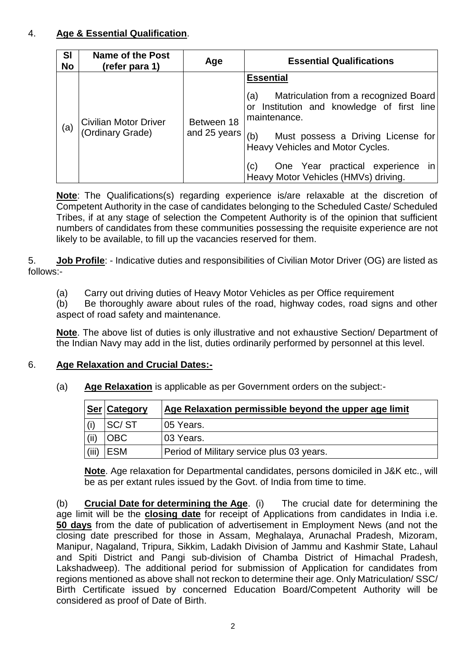## 4. **Age & Essential Qualification**.

| <b>SI</b><br><b>No</b> | <b>Name of the Post</b><br>(refer para 1)        | Age                        | <b>Essential Qualifications</b>                                                                                                                                                                                                                                                                                         |
|------------------------|--------------------------------------------------|----------------------------|-------------------------------------------------------------------------------------------------------------------------------------------------------------------------------------------------------------------------------------------------------------------------------------------------------------------------|
| (a)                    | <b>Civilian Motor Driver</b><br>(Ordinary Grade) | Between 18<br>and 25 years | <b>Essential</b><br>Matriculation from a recognized Board<br>(a)<br>or Institution and knowledge of first line<br>maintenance.<br>Must possess a Driving License for<br>Heavy Vehicles and Motor Cycles.<br>One Year practical experience<br>$\left( c\right)$<br>$\mathsf{In}$<br>Heavy Motor Vehicles (HMVs) driving. |

**Note**: The Qualifications(s) regarding experience is/are relaxable at the discretion of Competent Authority in the case of candidates belonging to the Scheduled Caste/ Scheduled Tribes, if at any stage of selection the Competent Authority is of the opinion that sufficient numbers of candidates from these communities possessing the requisite experience are not likely to be available, to fill up the vacancies reserved for them.

5. **Job Profile**: - Indicative duties and responsibilities of Civilian Motor Driver (OG) are listed as follows:-

(a) Carry out driving duties of Heavy Motor Vehicles as per Office requirement

(b) Be thoroughly aware about rules of the road, highway codes, road signs and other aspect of road safety and maintenance.

**Note**. The above list of duties is only illustrative and not exhaustive Section/ Department of the Indian Navy may add in the list, duties ordinarily performed by personnel at this level.

## 6. **Age Relaxation and Crucial Dates:-**

|       | <b>Ser Category</b> | Age Relaxation permissible beyond the upper age limit |
|-------|---------------------|-------------------------------------------------------|
|       | SC/ST               | 05 Years.                                             |
|       | DВC                 | 03 Years.                                             |
| (iii) | <b>ESM</b>          | Period of Military service plus 03 years.             |

(a) **Age Relaxation** is applicable as per Government orders on the subject:-

**Note**. Age relaxation for Departmental candidates, persons domiciled in J&K etc., will be as per extant rules issued by the Govt. of India from time to time.

(b) **Crucial Date for determining the Age**. (i) The crucial date for determining the age limit will be the **closing date** for receipt of Applications from candidates in India i.e. **50 days** from the date of publication of advertisement in Employment News (and not the closing date prescribed for those in Assam, Meghalaya, Arunachal Pradesh, Mizoram, Manipur, Nagaland, Tripura, Sikkim, Ladakh Division of Jammu and Kashmir State, Lahaul and Spiti District and Pangi sub-division of Chamba District of Himachal Pradesh, Lakshadweep). The additional period for submission of Application for candidates from regions mentioned as above shall not reckon to determine their age. Only Matriculation/ SSC/ Birth Certificate issued by concerned Education Board/Competent Authority will be considered as proof of Date of Birth.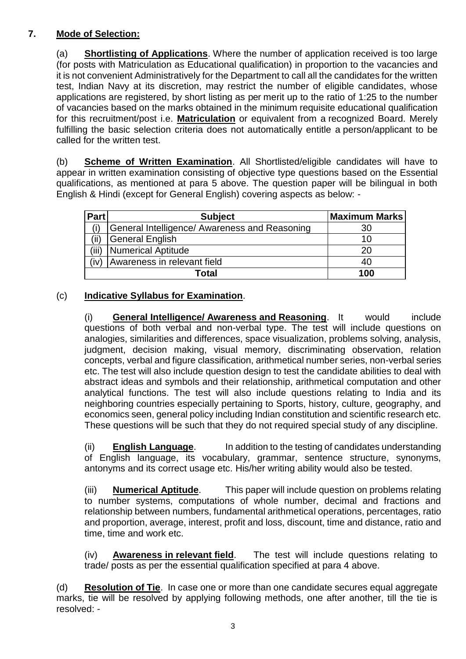## **7. Mode of Selection:**

(a) **Shortlisting of Applications**. Where the number of application received is too large (for posts with Matriculation as Educational qualification) in proportion to the vacancies and it is not convenient Administratively for the Department to call all the candidates for the written test, Indian Navy at its discretion, may restrict the number of eligible candidates, whose applications are registered, by short listing as per merit up to the ratio of 1:25 to the number of vacancies based on the marks obtained in the minimum requisite educational qualification for this recruitment/post i.e. **Matriculation** or equivalent from a recognized Board. Merely fulfilling the basic selection criteria does not automatically entitle a person/applicant to be called for the written test.

(b) **Scheme of Written Examination**. All Shortlisted/eligible candidates will have to appear in written examination consisting of objective type questions based on the Essential qualifications, as mentioned at para 5 above. The question paper will be bilingual in both English & Hindi (except for General English) covering aspects as below: -

| Part | <b>Subject</b>                                | <b>Maximum Marks</b> |
|------|-----------------------------------------------|----------------------|
|      | General Intelligence/ Awareness and Reasoning | 30                   |
| (ii) | <b>General English</b>                        | 10                   |
| ΄iii | <b>Numerical Aptitude</b>                     |                      |
| (iv) | Awareness in relevant field                   | 40                   |
|      | Total                                         | 100                  |

## (c) **Indicative Syllabus for Examination**.

(i) **General Intelligence/ Awareness and Reasoning**. It would include questions of both verbal and non-verbal type. The test will include questions on analogies, similarities and differences, space visualization, problems solving, analysis, judgment, decision making, visual memory, discriminating observation, relation concepts, verbal and figure classification, arithmetical number series, non-verbal series etc. The test will also include question design to test the candidate abilities to deal with abstract ideas and symbols and their relationship, arithmetical computation and other analytical functions. The test will also include questions relating to India and its neighboring countries especially pertaining to Sports, history, culture, geography, and economics seen, general policy including Indian constitution and scientific research etc. These questions will be such that they do not required special study of any discipline.

(ii) **English Language**. In addition to the testing of candidates understanding of English language, its vocabulary, grammar, sentence structure, synonyms, antonyms and its correct usage etc. His/her writing ability would also be tested.

(iii) **Numerical Aptitude**. This paper will include question on problems relating to number systems, computations of whole number, decimal and fractions and relationship between numbers, fundamental arithmetical operations, percentages, ratio and proportion, average, interest, profit and loss, discount, time and distance, ratio and time, time and work etc.

(iv) **Awareness in relevant field**. The test will include questions relating to trade/ posts as per the essential qualification specified at para 4 above.

(d) **Resolution of Tie**. In case one or more than one candidate secures equal aggregate marks, tie will be resolved by applying following methods, one after another, till the tie is resolved: -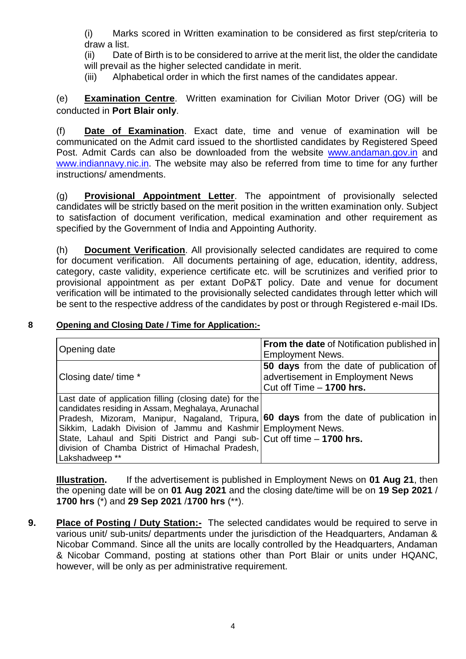(i) Marks scored in Written examination to be considered as first step/criteria to draw a list.

(ii) Date of Birth is to be considered to arrive at the merit list, the older the candidate will prevail as the higher selected candidate in merit.

(iii) Alphabetical order in which the first names of the candidates appear.

(e) **Examination Centre**. Written examination for Civilian Motor Driver (OG) will be conducted in **Port Blair only**.

(f) **Date of Examination**. Exact date, time and venue of examination will be communicated on the Admit card issued to the shortlisted candidates by Registered Speed Post. Admit Cards can also be downloaded from the website [www.andaman.gov.in](http://www.andaman.gov.in/) and [www.indiannavy.nic.in.](http://www.indiannavy.nic.in/) The website may also be referred from time to time for any further instructions/ amendments.

(g) **Provisional Appointment Letter**. The appointment of provisionally selected candidates will be strictly based on the merit position in the written examination only. Subject to satisfaction of document verification, medical examination and other requirement as specified by the Government of India and Appointing Authority.

(h) **Document Verification**. All provisionally selected candidates are required to come for document verification. All documents pertaining of age, education, identity, address, category, caste validity, experience certificate etc. will be scrutinizes and verified prior to provisional appointment as per extant DoP&T policy. Date and venue for document verification will be intimated to the provisionally selected candidates through letter which will be sent to the respective address of the candidates by post or through Registered e-mail IDs.

#### **8 Opening and Closing Date / Time for Application:-**

| <b>Opening date</b>                                                                                                                                                                                                                                                                                                                                                                                                               | <b>From the date of Notification published in</b><br><b>Employment News.</b>                              |
|-----------------------------------------------------------------------------------------------------------------------------------------------------------------------------------------------------------------------------------------------------------------------------------------------------------------------------------------------------------------------------------------------------------------------------------|-----------------------------------------------------------------------------------------------------------|
| Closing date/ time *                                                                                                                                                                                                                                                                                                                                                                                                              | 50 days from the date of publication of<br>advertisement in Employment News<br>Cut off $Time - 1700$ hrs. |
| Last date of application filling (closing date) for the<br>candidates residing in Assam, Meghalaya, Arunachal<br>Pradesh, Mizoram, Manipur, Nagaland, Tripura, 60 days from the date of publication in<br>Sikkim, Ladakh Division of Jammu and Kashmir Employment News.<br>State, Lahaul and Spiti District and Pangi sub- $\vert$ Cut off time - 1700 hrs.<br>division of Chamba District of Himachal Pradesh,<br>Lakshadweep ** |                                                                                                           |

**Illustration.** If the advertisement is published in Employment News on **01 Aug 21**, then the opening date will be on **01 Aug 2021** and the closing date/time will be on **19 Sep 2021** / **1700 hrs** (\*) and **29 Sep 2021** /**1700 hrs** (\*\*).

**9. Place of Posting / Duty Station:-** The selected candidates would be required to serve in various unit/ sub-units/ departments under the jurisdiction of the Headquarters, Andaman & Nicobar Command. Since all the units are locally controlled by the Headquarters, Andaman & Nicobar Command, posting at stations other than Port Blair or units under HQANC, however, will be only as per administrative requirement.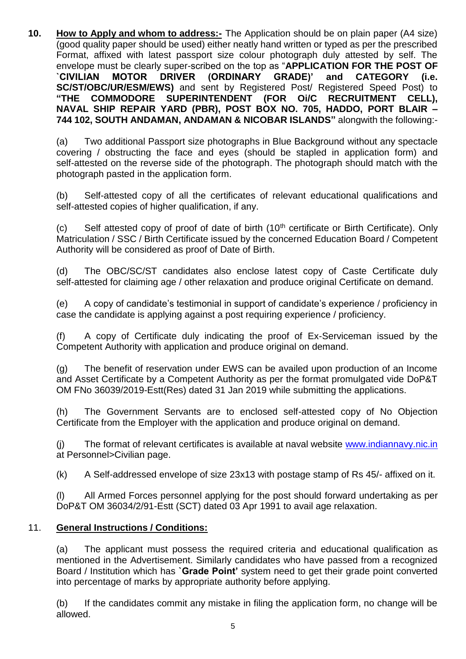**10. How to Apply and whom to address:-** The Application should be on plain paper (A4 size) (good quality paper should be used) either neatly hand written or typed as per the prescribed Format, affixed with latest passport size colour photograph duly attested by self. The envelope must be clearly super-scribed on the top as "**APPLICATION FOR THE POST OF `CIVILIAN MOTOR DRIVER (ORDINARY GRADE)' and CATEGORY (i.e. SC/ST/OBC/UR/ESM/EWS)** and sent by Registered Post/ Registered Speed Post) to **"THE COMMODORE SUPERINTENDENT (FOR Oi/C RECRUITMENT CELL), NAVAL SHIP REPAIR YARD (PBR), POST BOX NO. 705, HADDO, PORT BLAIR – 744 102, SOUTH ANDAMAN, ANDAMAN & NICOBAR ISLANDS"** alongwith the following:-

(a) Two additional Passport size photographs in Blue Background without any spectacle covering / obstructing the face and eyes (should be stapled in application form) and self-attested on the reverse side of the photograph. The photograph should match with the photograph pasted in the application form.

(b) Self-attested copy of all the certificates of relevant educational qualifications and self-attested copies of higher qualification, if any.

(c) Self attested copy of proof of date of birth  $(10<sup>th</sup>$  certificate or Birth Certificate). Only Matriculation / SSC / Birth Certificate issued by the concerned Education Board / Competent Authority will be considered as proof of Date of Birth.

(d) The OBC/SC/ST candidates also enclose latest copy of Caste Certificate duly self-attested for claiming age / other relaxation and produce original Certificate on demand.

(e) A copy of candidate's testimonial in support of candidate's experience / proficiency in case the candidate is applying against a post requiring experience / proficiency.

(f) A copy of Certificate duly indicating the proof of Ex-Serviceman issued by the Competent Authority with application and produce original on demand.

(g) The benefit of reservation under EWS can be availed upon production of an Income and Asset Certificate by a Competent Authority as per the format promulgated vide DoP&T OM FNo 36039/2019-Estt(Res) dated 31 Jan 2019 while submitting the applications.

(h) The Government Servants are to enclosed self-attested copy of No Objection Certificate from the Employer with the application and produce original on demand.

(j) The format of relevant certificates is available at naval website [www.indiannavy.nic.in](http://www.indiannavy.nic.in/) at Personnel>Civilian page.

(k) A Self-addressed envelope of size 23x13 with postage stamp of Rs 45/- affixed on it.

(l) All Armed Forces personnel applying for the post should forward undertaking as per DoP&T OM 36034/2/91-Estt (SCT) dated 03 Apr 1991 to avail age relaxation.

## 11. **General Instructions / Conditions:**

(a) The applicant must possess the required criteria and educational qualification as mentioned in the Advertisement. Similarly candidates who have passed from a recognized Board / Institution which has **`Grade Point'** system need to get their grade point converted into percentage of marks by appropriate authority before applying.

(b) If the candidates commit any mistake in filing the application form, no change will be allowed.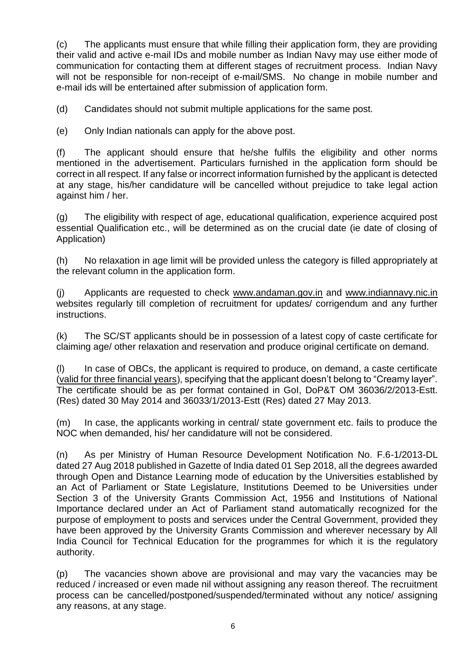(c) The applicants must ensure that while filling their application form, they are providing their valid and active e-mail IDs and mobile number as Indian Navy may use either mode of communication for contacting them at different stages of recruitment process. Indian Navy will not be responsible for non-receipt of e-mail/SMS. No change in mobile number and e-mail ids will be entertained after submission of application form.

(d) Candidates should not submit multiple applications for the same post.

(e) Only Indian nationals can apply for the above post.

(f) The applicant should ensure that he/she fulfils the eligibility and other norms mentioned in the advertisement. Particulars furnished in the application form should be correct in all respect. If any false or incorrect information furnished by the applicant is detected at any stage, his/her candidature will be cancelled without prejudice to take legal action against him / her.

(g) The eligibility with respect of age, educational qualification, experience acquired post essential Qualification etc., will be determined as on the crucial date (ie date of closing of Application)

(h) No relaxation in age limit will be provided unless the category is filled appropriately at the relevant column in the application form.

(j) Applicants are requested to check www.andaman.gov.in and [www.indiannavy.nic.in](http://www.indiannavy.nic.in/) websites regularly till completion of recruitment for updates/ corrigendum and any further instructions.

(k) The SC/ST applicants should be in possession of a latest copy of caste certificate for claiming age/ other relaxation and reservation and produce original certificate on demand.

(l) In case of OBCs, the applicant is required to produce, on demand, a caste certificate (valid for three financial years), specifying that the applicant doesn't belong to "Creamy layer". The certificate should be as per format contained in GoI, DoP&T OM 36036/2/2013-Estt. (Res) dated 30 May 2014 and 36033/1/2013-Estt (Res) dated 27 May 2013.

(m) In case, the applicants working in central/ state government etc. fails to produce the NOC when demanded, his/ her candidature will not be considered.

(n) As per Ministry of Human Resource Development Notification No. F.6-1/2013-DL dated 27 Aug 2018 published in Gazette of India dated 01 Sep 2018, all the degrees awarded through Open and Distance Learning mode of education by the Universities established by an Act of Parliament or State Legislature, Institutions Deemed to be Universities under Section 3 of the University Grants Commission Act, 1956 and Institutions of National Importance declared under an Act of Parliament stand automatically recognized for the purpose of employment to posts and services under the Central Government, provided they have been approved by the University Grants Commission and wherever necessary by All India Council for Technical Education for the programmes for which it is the regulatory authority.

(p) The vacancies shown above are provisional and may vary the vacancies may be reduced / increased or even made nil without assigning any reason thereof. The recruitment process can be cancelled/postponed/suspended/terminated without any notice/ assigning any reasons, at any stage.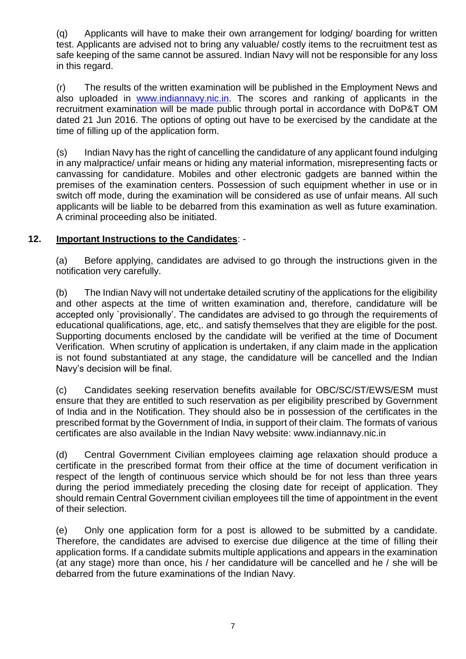(q) Applicants will have to make their own arrangement for lodging/ boarding for written test. Applicants are advised not to bring any valuable/ costly items to the recruitment test as safe keeping of the same cannot be assured. Indian Navy will not be responsible for any loss in this regard.

(r) The results of the written examination will be published in the Employment News and also uploaded in [www.indiannavy.nic.in.](http://www.indiannavy.nic.in/) The scores and ranking of applicants in the recruitment examination will be made public through portal in accordance with DoP&T OM dated 21 Jun 2016. The options of opting out have to be exercised by the candidate at the time of filling up of the application form.

(s) Indian Navy has the right of cancelling the candidature of any applicant found indulging in any malpractice/ unfair means or hiding any material information, misrepresenting facts or canvassing for candidature. Mobiles and other electronic gadgets are banned within the premises of the examination centers. Possession of such equipment whether in use or in switch off mode, during the examination will be considered as use of unfair means. All such applicants will be liable to be debarred from this examination as well as future examination. A criminal proceeding also be initiated.

#### **12. Important Instructions to the Candidates**: -

(a) Before applying, candidates are advised to go through the instructions given in the notification very carefully.

(b) The Indian Navy will not undertake detailed scrutiny of the applications for the eligibility and other aspects at the time of written examination and, therefore, candidature will be accepted only `provisionally'. The candidates are advised to go through the requirements of educational qualifications, age, etc,. and satisfy themselves that they are eligible for the post. Supporting documents enclosed by the candidate will be verified at the time of Document Verification. When scrutiny of application is undertaken, if any claim made in the application is not found substantiated at any stage, the candidature will be cancelled and the Indian Navy's decision will be final.

(c) Candidates seeking reservation benefits available for OBC/SC/ST/EWS/ESM must ensure that they are entitled to such reservation as per eligibility prescribed by Government of India and in the Notification. They should also be in possession of the certificates in the prescribed format by the Government of India, in support of their claim. The formats of various certificates are also available in the Indian Navy website: www.indiannavy.nic.in

(d) Central Government Civilian employees claiming age relaxation should produce a certificate in the prescribed format from their office at the time of document verification in respect of the length of continuous service which should be for not less than three years during the period immediately preceding the closing date for receipt of application. They should remain Central Government civilian employees till the time of appointment in the event of their selection.

(e) Only one application form for a post is allowed to be submitted by a candidate. Therefore, the candidates are advised to exercise due diligence at the time of filling their application forms. If a candidate submits multiple applications and appears in the examination (at any stage) more than once, his / her candidature will be cancelled and he / she will be debarred from the future examinations of the Indian Navy.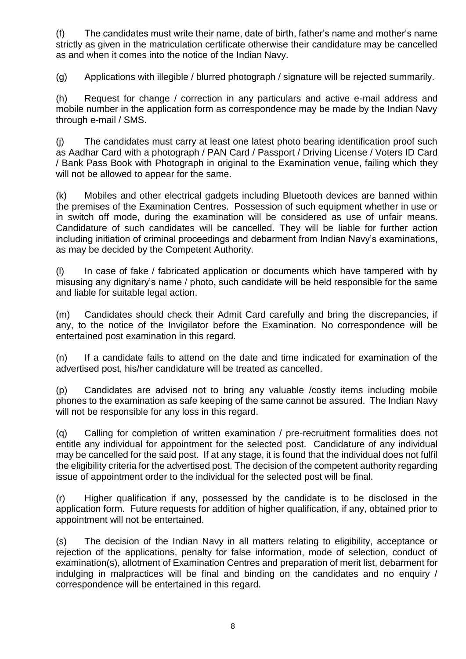(f) The candidates must write their name, date of birth, father's name and mother's name strictly as given in the matriculation certificate otherwise their candidature may be cancelled as and when it comes into the notice of the Indian Navy.

(g) Applications with illegible / blurred photograph / signature will be rejected summarily.

(h) Request for change / correction in any particulars and active e-mail address and mobile number in the application form as correspondence may be made by the Indian Navy through e-mail / SMS.

(j) The candidates must carry at least one latest photo bearing identification proof such as Aadhar Card with a photograph / PAN Card / Passport / Driving License / Voters ID Card / Bank Pass Book with Photograph in original to the Examination venue, failing which they will not be allowed to appear for the same.

(k) Mobiles and other electrical gadgets including Bluetooth devices are banned within the premises of the Examination Centres. Possession of such equipment whether in use or in switch off mode, during the examination will be considered as use of unfair means. Candidature of such candidates will be cancelled. They will be liable for further action including initiation of criminal proceedings and debarment from Indian Navy's examinations, as may be decided by the Competent Authority.

(l) In case of fake / fabricated application or documents which have tampered with by misusing any dignitary's name / photo, such candidate will be held responsible for the same and liable for suitable legal action.

(m) Candidates should check their Admit Card carefully and bring the discrepancies, if any, to the notice of the Invigilator before the Examination. No correspondence will be entertained post examination in this regard.

(n) If a candidate fails to attend on the date and time indicated for examination of the advertised post, his/her candidature will be treated as cancelled.

(p) Candidates are advised not to bring any valuable /costly items including mobile phones to the examination as safe keeping of the same cannot be assured. The Indian Navy will not be responsible for any loss in this regard.

(q) Calling for completion of written examination / pre-recruitment formalities does not entitle any individual for appointment for the selected post. Candidature of any individual may be cancelled for the said post. If at any stage, it is found that the individual does not fulfil the eligibility criteria for the advertised post. The decision of the competent authority regarding issue of appointment order to the individual for the selected post will be final.

(r) Higher qualification if any, possessed by the candidate is to be disclosed in the application form. Future requests for addition of higher qualification, if any, obtained prior to appointment will not be entertained.

(s) The decision of the Indian Navy in all matters relating to eligibility, acceptance or rejection of the applications, penalty for false information, mode of selection, conduct of examination(s), allotment of Examination Centres and preparation of merit list, debarment for indulging in malpractices will be final and binding on the candidates and no enquiry / correspondence will be entertained in this regard.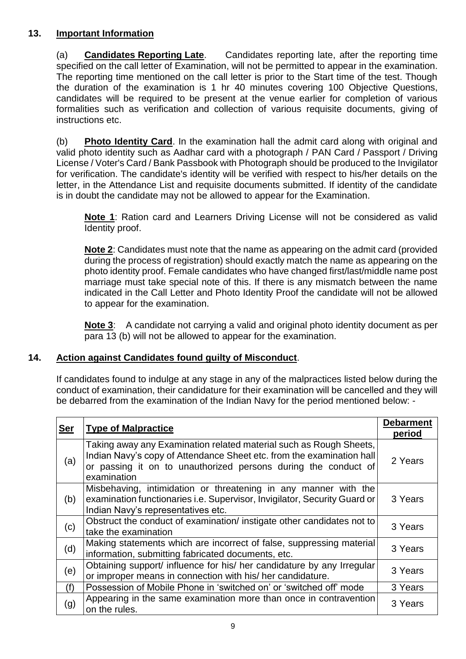## **13. Important Information**

(a) **Candidates Reporting Late**. Candidates reporting late, after the reporting time specified on the call letter of Examination, will not be permitted to appear in the examination. The reporting time mentioned on the call letter is prior to the Start time of the test. Though the duration of the examination is 1 hr 40 minutes covering 100 Objective Questions, candidates will be required to be present at the venue earlier for completion of various formalities such as verification and collection of various requisite documents, giving of instructions etc.

(b) **Photo Identity Card**. In the examination hall the admit card along with original and valid photo identity such as Aadhar card with a photograph / PAN Card / Passport / Driving License / Voter's Card / Bank Passbook with Photograph should be produced to the Invigilator for verification. The candidate's identity will be verified with respect to his/her details on the letter, in the Attendance List and requisite documents submitted. If identity of the candidate is in doubt the candidate may not be allowed to appear for the Examination.

**Note 1**: Ration card and Learners Driving License will not be considered as valid Identity proof.

**Note 2**: Candidates must note that the name as appearing on the admit card (provided during the process of registration) should exactly match the name as appearing on the photo identity proof. Female candidates who have changed first/last/middle name post marriage must take special note of this. If there is any mismatch between the name indicated in the Call Letter and Photo Identity Proof the candidate will not be allowed to appear for the examination.

**Note 3**: A candidate not carrying a valid and original photo identity document as per para 13 (b) will not be allowed to appear for the examination.

## **14. Action against Candidates found guilty of Misconduct**.

If candidates found to indulge at any stage in any of the malpractices listed below during the conduct of examination, their candidature for their examination will be cancelled and they will be debarred from the examination of the Indian Navy for the period mentioned below: -

| <b>Ser</b> | <b>Type of Malpractice</b>                                                                                                                                                                                                   | <b>Debarment</b><br>period |
|------------|------------------------------------------------------------------------------------------------------------------------------------------------------------------------------------------------------------------------------|----------------------------|
| (a)        | Taking away any Examination related material such as Rough Sheets,<br>Indian Navy's copy of Attendance Sheet etc. from the examination hall<br>or passing it on to unauthorized persons during the conduct of<br>examination | 2 Years                    |
| (b)        | Misbehaving, intimidation or threatening in any manner with the<br>examination functionaries i.e. Supervisor, Invigilator, Security Guard or<br>Indian Navy's representatives etc.                                           | 3 Years                    |
| (c)        | Obstruct the conduct of examination/ instigate other candidates not to<br>take the examination                                                                                                                               | 3 Years                    |
| (d)        | Making statements which are incorrect of false, suppressing material<br>information, submitting fabricated documents, etc.                                                                                                   | 3 Years                    |
| (e)        | Obtaining support/ influence for his/ her candidature by any Irregular<br>or improper means in connection with his/ her candidature.                                                                                         |                            |
| (f)        | Possession of Mobile Phone in 'switched on' or 'switched off' mode                                                                                                                                                           | 3 Years                    |
| (g)        | Appearing in the same examination more than once in contravention<br>on the rules.                                                                                                                                           | 3 Years                    |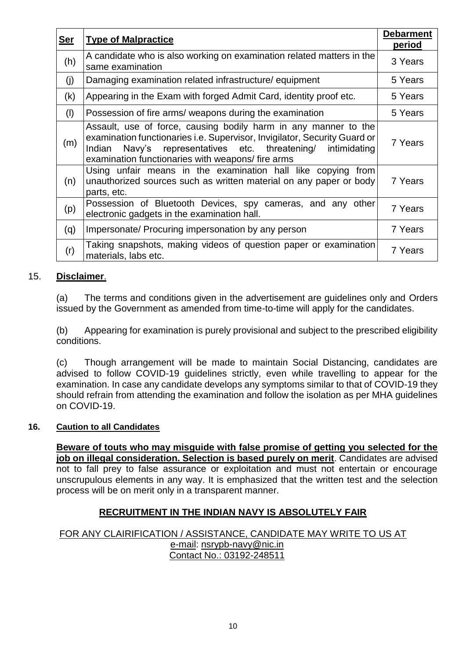| <b>Ser</b> | <b>Type of Malpractice</b>                                                                                                                                                                                                                                          | <b>Debarment</b><br>period |
|------------|---------------------------------------------------------------------------------------------------------------------------------------------------------------------------------------------------------------------------------------------------------------------|----------------------------|
| (h)        | A candidate who is also working on examination related matters in the<br>same examination                                                                                                                                                                           | 3 Years                    |
| (j)        | Damaging examination related infrastructure/equipment                                                                                                                                                                                                               | 5 Years                    |
| (k)        | Appearing in the Exam with forged Admit Card, identity proof etc.                                                                                                                                                                                                   | 5 Years                    |
| (1)        | Possession of fire arms/ weapons during the examination                                                                                                                                                                                                             | 5 Years                    |
| (m)        | Assault, use of force, causing bodily harm in any manner to the<br>examination functionaries i.e. Supervisor, Invigilator, Security Guard or<br>Navy's representatives etc. threatening/ intimidating<br>Indian<br>examination functionaries with weapons/fire arms | 7 Years                    |
| (n)        | Using unfair means in the examination hall like copying from<br>unauthorized sources such as written material on any paper or body<br>parts, etc.                                                                                                                   | 7 Years                    |
| (p)        | Possession of Bluetooth Devices, spy cameras, and any other<br>electronic gadgets in the examination hall.                                                                                                                                                          | 7 Years                    |
| (q)        | Impersonate/ Procuring impersonation by any person                                                                                                                                                                                                                  | 7 Years                    |
| (r)        | Taking snapshots, making videos of question paper or examination<br>materials, labs etc.                                                                                                                                                                            | 7 Years                    |

#### 15. **Disclaimer**.

(a) The terms and conditions given in the advertisement are guidelines only and Orders issued by the Government as amended from time-to-time will apply for the candidates.

(b) Appearing for examination is purely provisional and subject to the prescribed eligibility conditions.

(c) Though arrangement will be made to maintain Social Distancing, candidates are advised to follow COVID-19 guidelines strictly, even while travelling to appear for the examination. In case any candidate develops any symptoms similar to that of COVID-19 they should refrain from attending the examination and follow the isolation as per MHA guidelines on COVID-19.

#### **16. Caution to all Candidates**

**Beware of touts who may misguide with false promise of getting you selected for the job on illegal consideration. Selection is based purely on merit**. Candidates are advised not to fall prey to false assurance or exploitation and must not entertain or encourage unscrupulous elements in any way. It is emphasized that the written test and the selection process will be on merit only in a transparent manner.

## **RECRUITMENT IN THE INDIAN NAVY IS ABSOLUTELY FAIR**

#### FOR ANY CLAIRIFICATION / ASSISTANCE, CANDIDATE MAY WRITE TO US AT e-mail: [nsrypb-navy@nic.in](mailto:nsrypb-navy@nic.in) Contact No.: 03192-248511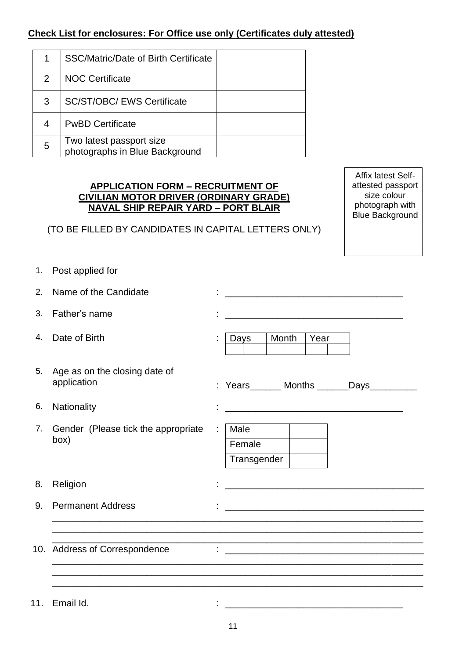# **Check List for enclosures: For Office use only (Certificates duly attested)**

|   | SSC/Matric/Date of Birth Certificate                       |  |
|---|------------------------------------------------------------|--|
| 2 | <b>NOC Certificate</b>                                     |  |
| 3 | <b>SC/ST/OBC/ EWS Certificate</b>                          |  |
| 4 | <b>PwBD Certificate</b>                                    |  |
| 5 | Two latest passport size<br>photographs in Blue Background |  |

#### **APPLICATION FORM – RECRUITMENT OF CIVILIAN MOTOR DRIVER (ORDINARY GRADE) NAVAL SHIP REPAIR YARD – PORT BLAIR**

(TO BE FILLED BY CANDIDATES IN CAPITAL LETTERS ONLY)

Affix latest Selfattested passport size colour photograph with Blue Background

1. Post applied for

| 2.  | Name of the Candidate                        | <u> 1980 - Jan James James Barnett, fransk politik (d. 1980)</u>                                                      |
|-----|----------------------------------------------|-----------------------------------------------------------------------------------------------------------------------|
| 3.  | Father's name                                | <u> 1989 - Johann John Stone, markin film yn y brenin y brenin y brenin y brenin y brenin y brenin y brenin y br</u>  |
| 4.  | Date of Birth                                | Month<br>Year<br>Days                                                                                                 |
| 5.  | Age as on the closing date of<br>application | : Years_______ Months _______Days__________                                                                           |
| 6.  | Nationality                                  |                                                                                                                       |
| 7.  | Gender (Please tick the appropriate<br>box)  | Male<br>÷<br>Female<br>Transgender                                                                                    |
| 8.  | Religion                                     | <u> 1989 - Johann John Stone, markin film yn y brening yn y brening yn y brening yn y brening y brening yn y bre</u>  |
| 9.  | <b>Permanent Address</b>                     | <u> 1989 - Johann Harry Harry Harry Harry Harry Harry Harry Harry Harry Harry Harry Harry Harry Harry Harry Harry</u> |
|     | 10. Address of Correspondence                |                                                                                                                       |
| 11. | Email Id.                                    | <u> 1980 - Johann John Stone, markin fizik eta idazlearia (h. 1980).</u>                                              |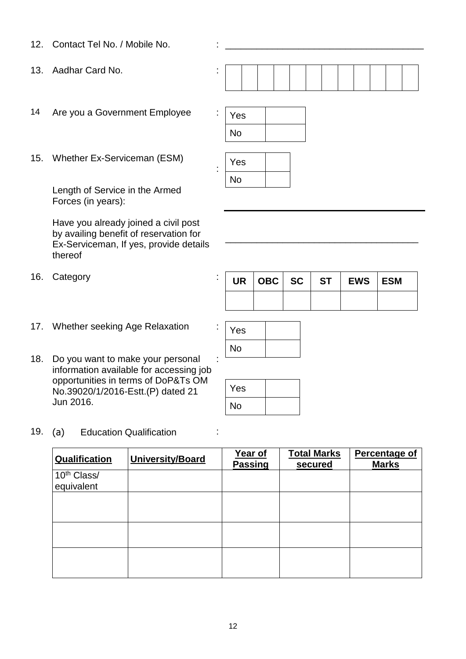- 12. Contact Tel No. / Mobile No.
- 13. Aadhar Card No. :
- 14 Are you a Government Employee  $\sqrt{Y_{\text{ES}}}$
- 15. Whether Ex-Serviceman (ESM)

Length of Service in the Armed Forces (in years):

Have you already joined a civil post by availing benefit of reservation for Ex-Serviceman, If yes, provide details thereof

- 16. Category : **We are the ST EXECUTE:**
- 17. Whether seeking Age Relaxation
- 18. Do you want to make your personal information available for accessing job opportunities in terms of DoP&Ts OM No.39020/1/2016-Estt.(P) dated 21 Jun 2016. :
- 19. (a) Education Qualification :

| Qualification                         | <b>University/Board</b> | Year of<br><b>Passing</b> | <b>Total Marks</b><br>secured | Percentage of<br><b>Marks</b> |
|---------------------------------------|-------------------------|---------------------------|-------------------------------|-------------------------------|
| 10 <sup>th</sup> Class/<br>equivalent |                         |                           |                               |                               |
|                                       |                         |                           |                               |                               |
|                                       |                         |                           |                               |                               |
|                                       |                         |                           |                               |                               |
|                                       |                         |                           |                               |                               |





:

|  |  | UR   OBC   SC   ST   EWS   ESM |  |
|--|--|--------------------------------|--|
|  |  |                                |  |

\_\_\_\_\_\_\_\_\_\_\_\_\_\_\_\_\_\_\_\_\_\_\_\_\_\_\_\_\_\_\_\_\_\_\_\_\_



| Yes |  |
|-----|--|
| No  |  |